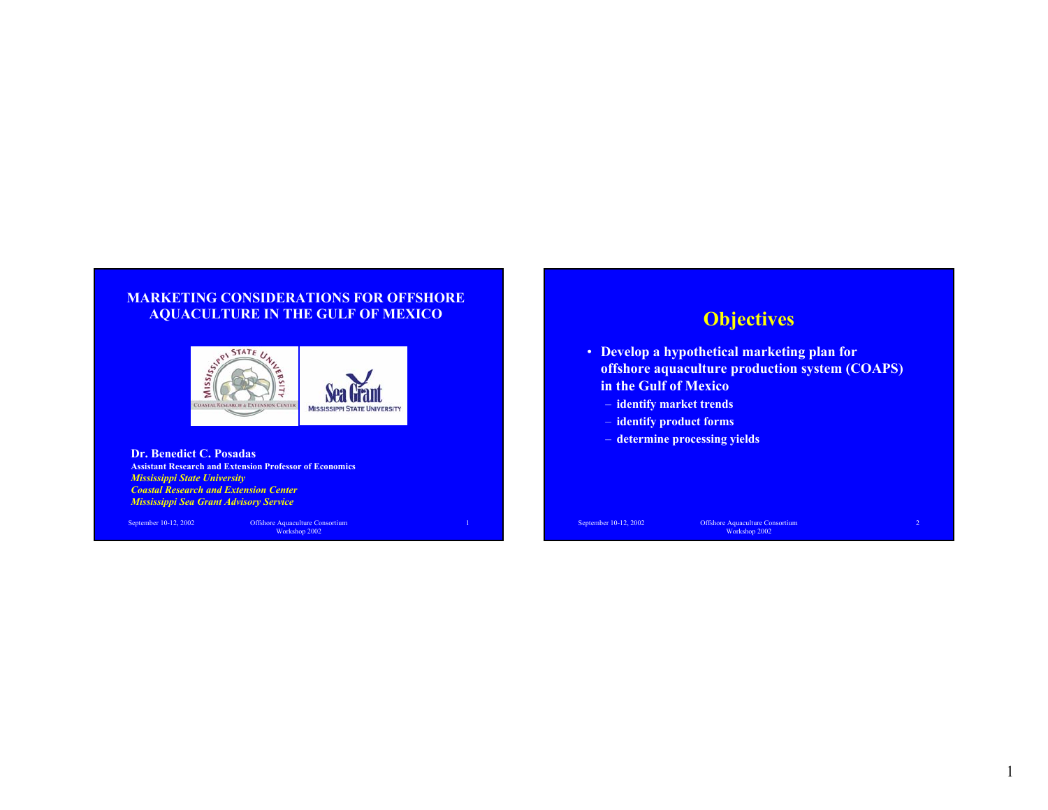#### **MARKETING CONSIDERATIONS FOR OFFSHORE AQUACULTURE IN THE GULF OF MEXICO**



**Dr. Benedict C. Posadas Assistant Research and Extension Professor of Economics** *Mississippi State University Coastal Research and Extension CenterMississippi Sea Grant Advisory Service*

September 10-12, 2002 Offshore Aquaculture Consortium Workshop 2002

# **Objectives**

- **Develop a hypothetical marketing plan for offshore aquaculture production system (COAPS) in the Gulf of Mexico**
	- **identify market trends**
	- **identify product forms**
	- **determine processing yields**

1

September 10-12, 2002 Offshore Aquaculture Consortium Workshop 2002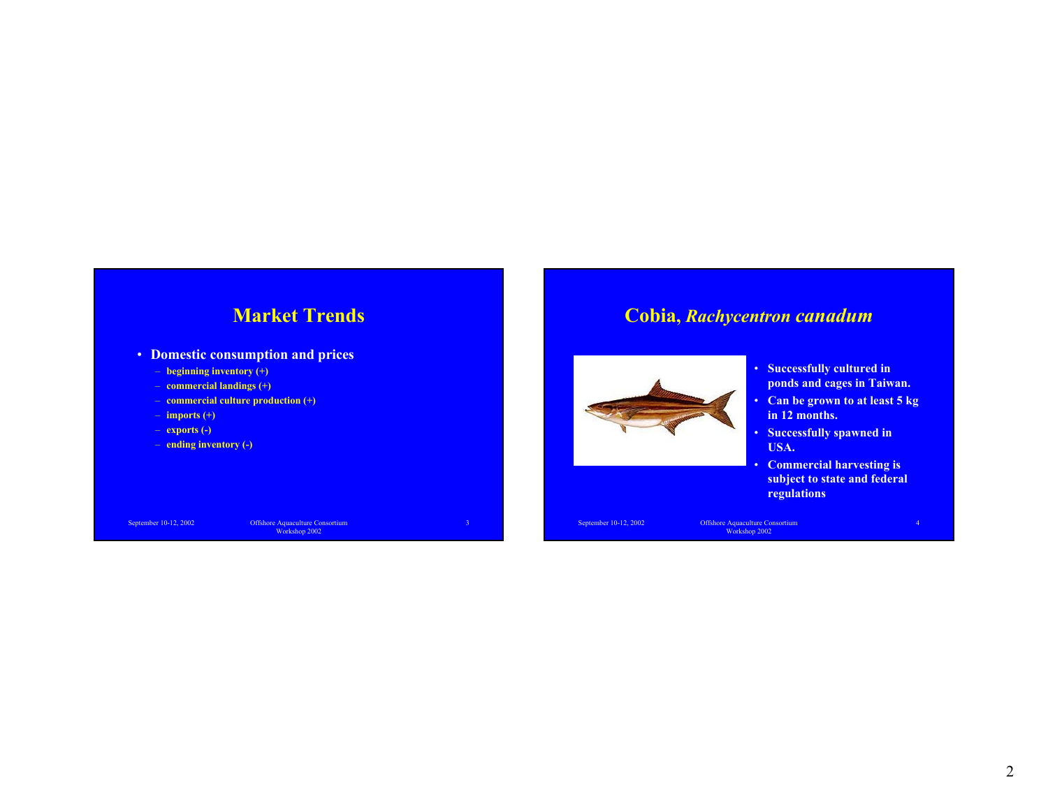# **Market Trends**

- **Domestic consumption and prices**
	- **beginning inventory (+)**
	- **commercial landings (+)**
	- **commercial culture production (+)**
	- **imports (+)**
	- **exports (-)**
	- **ending inventory (-)**

September 10-12, 2002 Offshore Aquaculture Consortium Workshop 2002

3

# **Cobia,** *Rachycentron canadum*



- **Successfully cultured in ponds and cages in Taiwan.**
- **Can be grown to at least 5 kg in 12 months.**
- **Successfully spawned in USA.**
- • **Commercial harvesting is subject to state and federal regulations**

September 10-12, 2002 Offshore Aquaculture Consortium Workshop 2002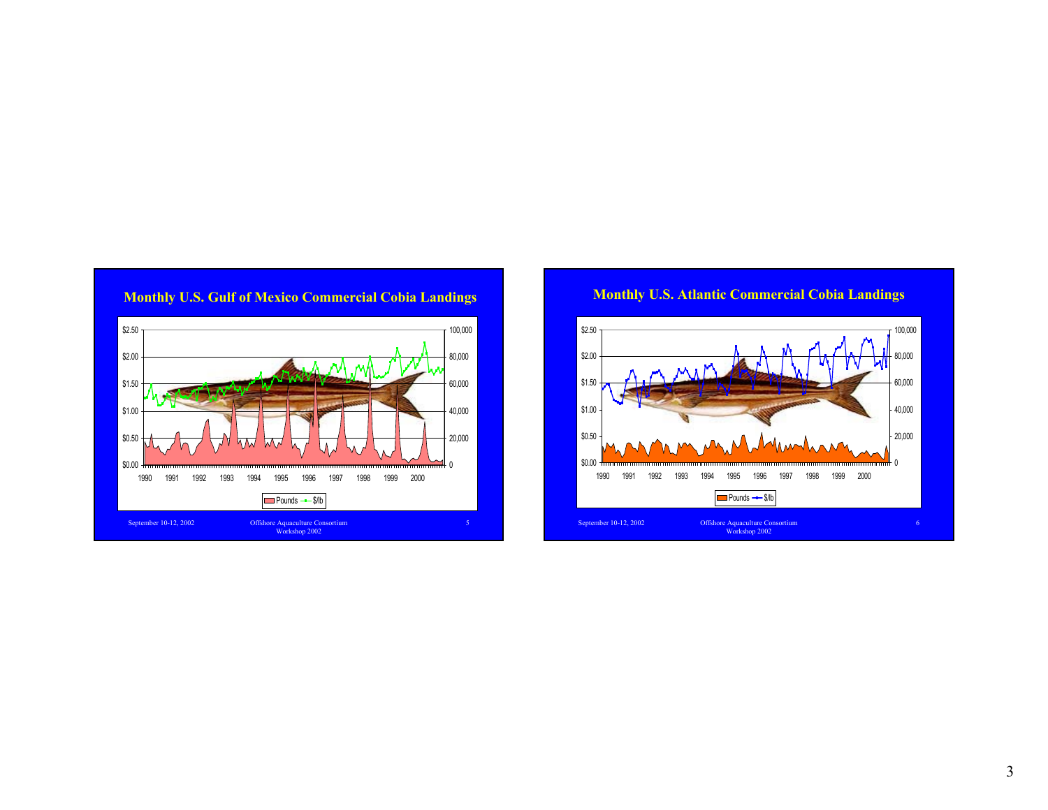

# **Monthly U.S. Gulf of Mexico Commercial Cobia Landings**



### **Monthly U.S. Atlantic Commercial Cobia Landings**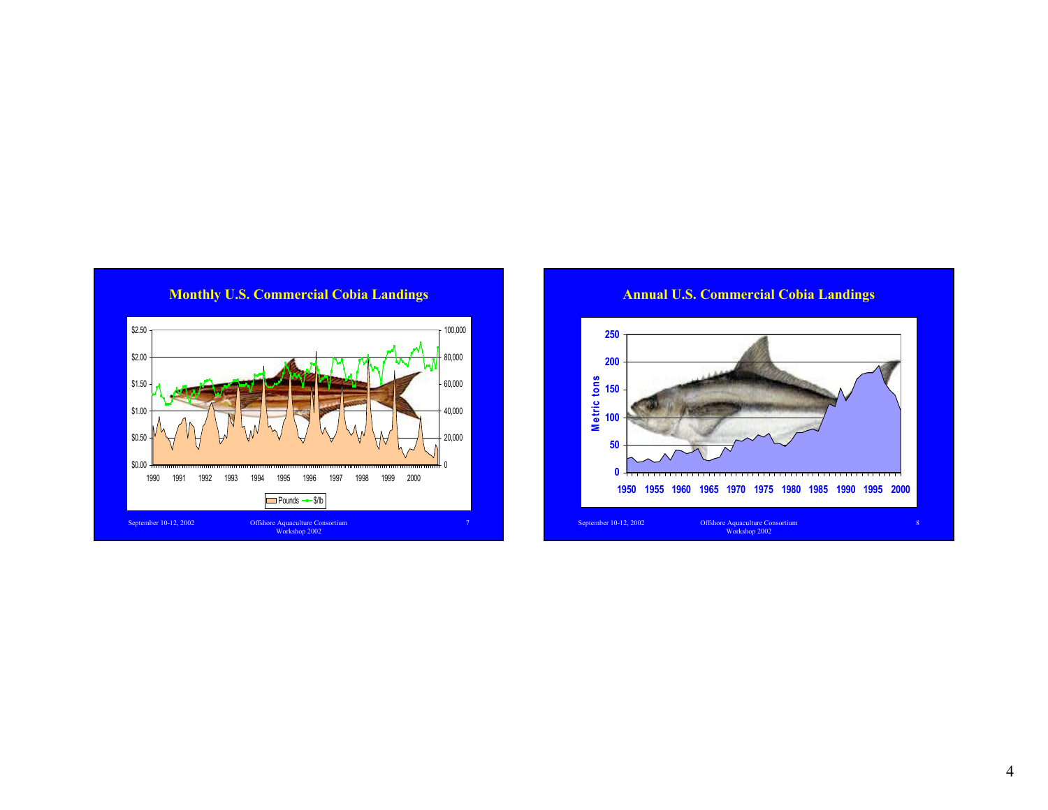

**Monthly U.S. Commercial Cobia Landings**

**Annual U.S. Commercial Cobia Landings**

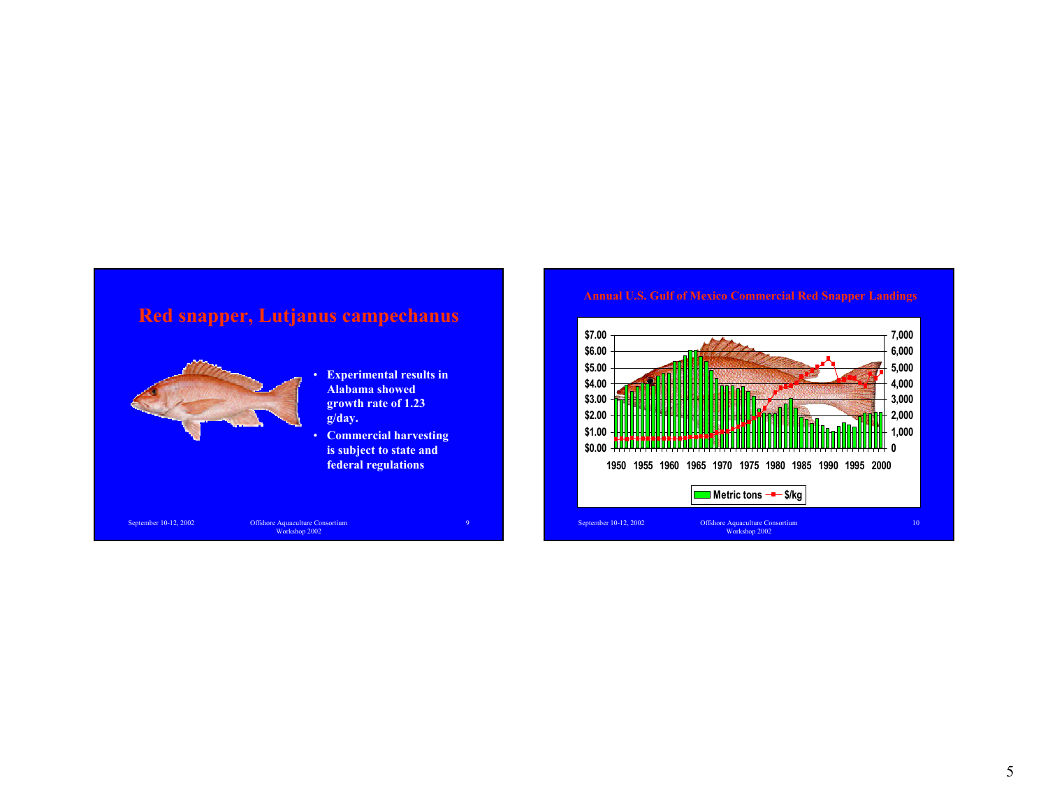# **Red snapper, Lutjanus campechanus**



- • **Experimental results in Alabama showed growth rate of 1.23 g/day.**
- **Commercial harvesting is subject to state and federal regulations**

9

September 10-12, 2002 Offshore Aquaculture Consortium Workshop 2002

#### **Annual U.S. Gulf of Mexico Commercial Red Snapper Landings**

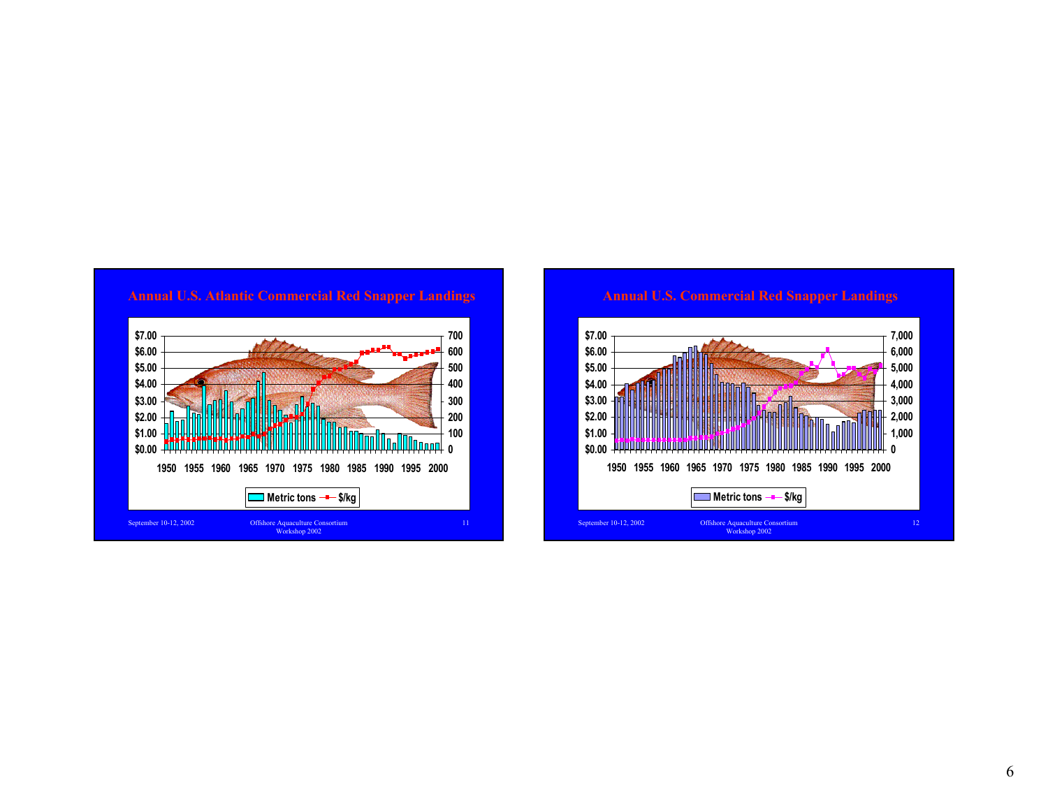

#### **Annual U.S. Atlantic Commercial Red Snapper Landings**

# **Annual U.S. Commercial Red Snapper Landings**

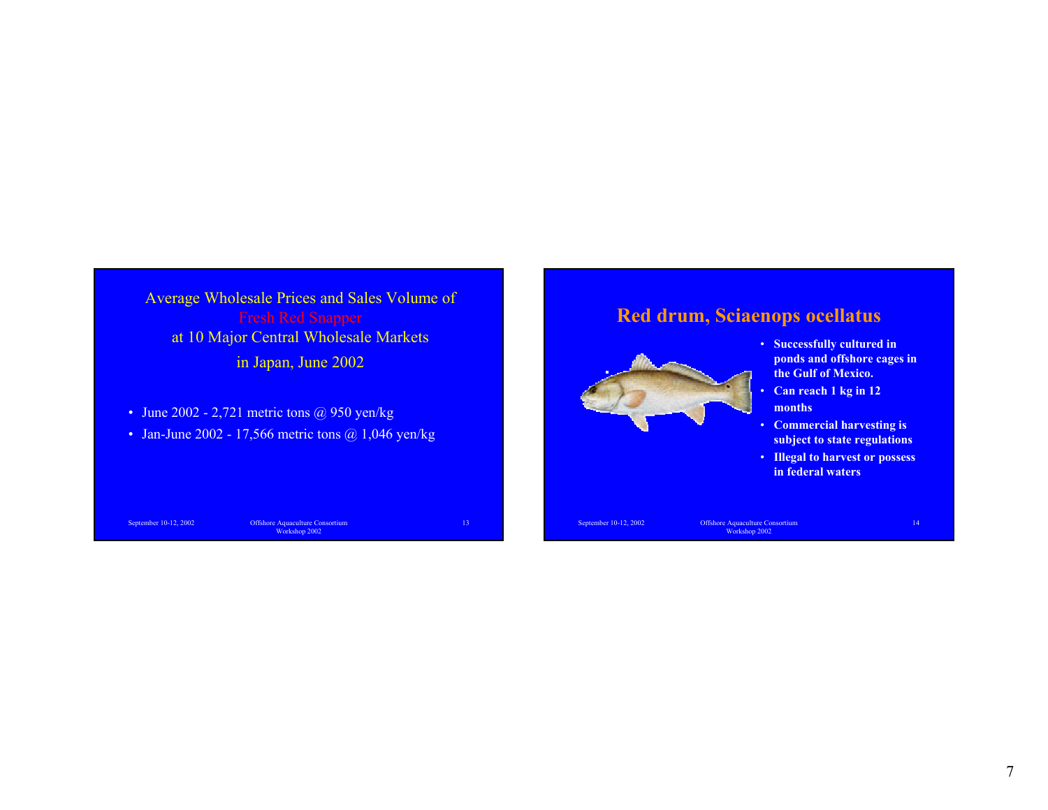Average Wholesale Prices and Sales Volume of at 10 Major Central Wholesale Markets in Japan, June 2002

- June  $2002 2,721$  metric tons @ 950 yen/kg
- Jan-June 2002 17,566 metric tons  $\omega$  1,046 yen/kg

September 10-12, 2002 Offshore Aquaculture Consortium Workshop 2002

13

# **Red drum, Sciaenops ocellatus**



- **Successfully cultured in ponds and offshore cages in the Gulf of Mexico.**
- **Can reach 1 kg in 12 months**
- **Commercial harvesting is subject to state regulations**
- **Illegal to harvest or possess in federal waters**

September 10-12, 2002 Offshore Aquaculture Consortium Workshop 2002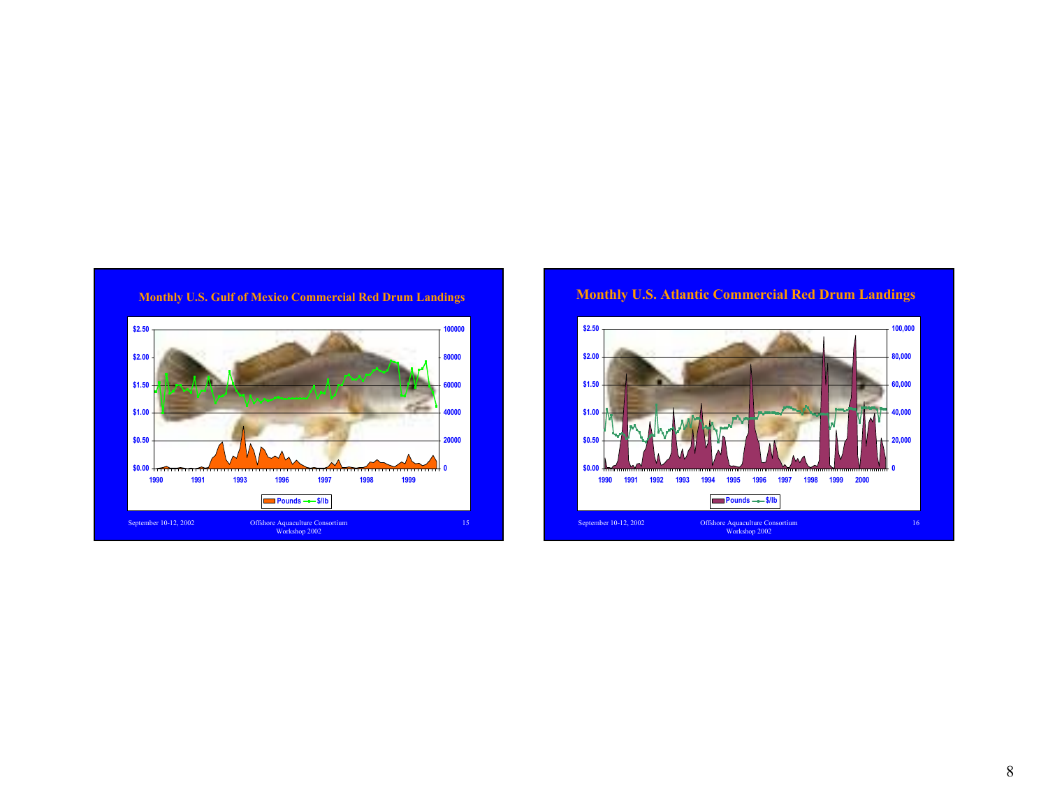



#### **Monthly U.S. Atlantic Commercial Red Drum Landings**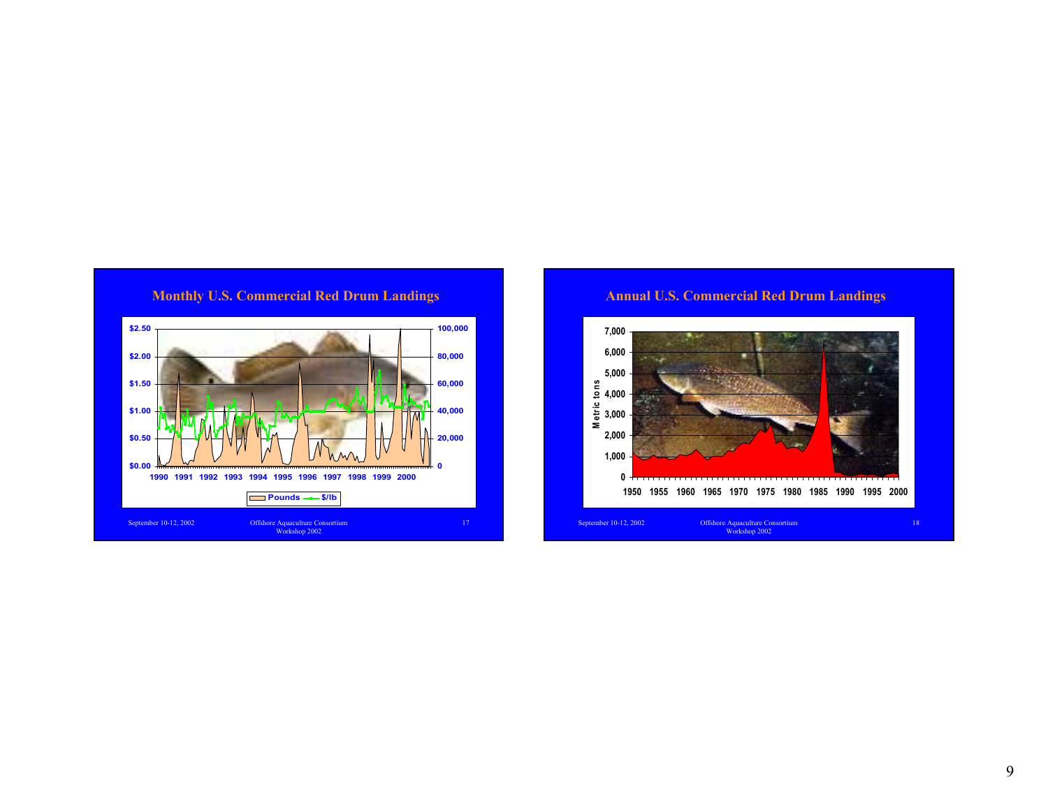

**Annual U.S. Commercial Red Drum Landings**

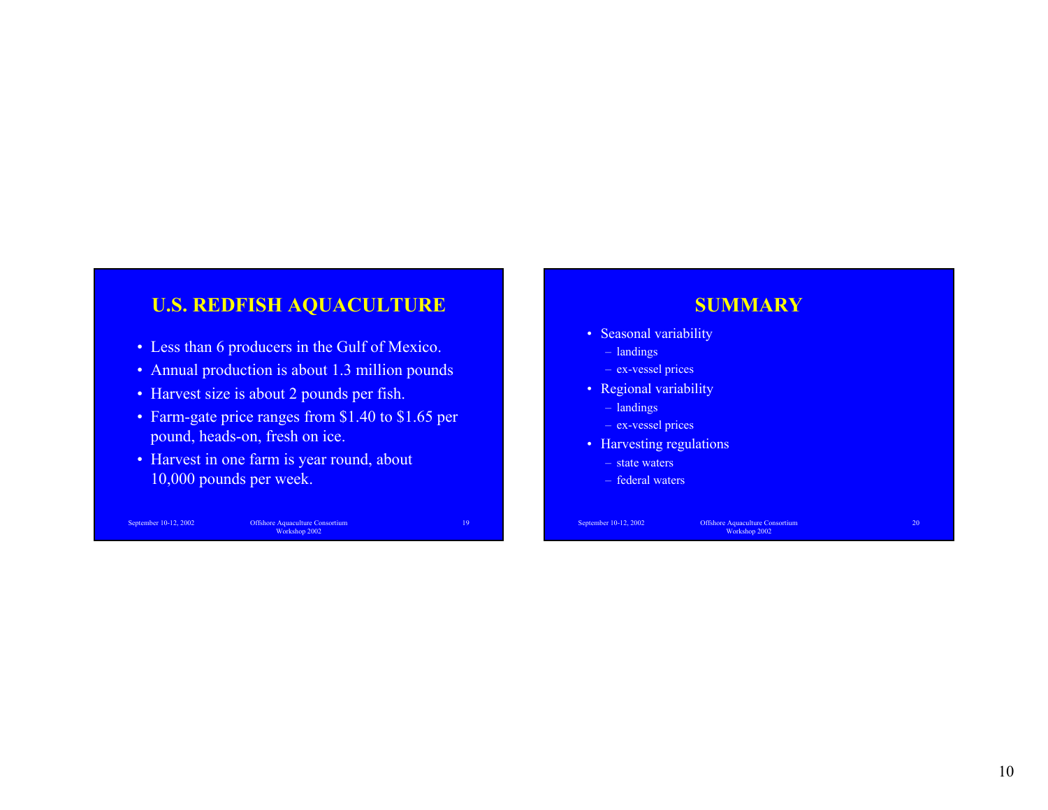## **U.S. REDFISH AQUACULTURE**

- Less than 6 producers in the Gulf of Mexico.
- Annual production is about 1.3 million pounds
- Harvest size is about 2 pounds per fish.
- Farm-gate price ranges from \$1.40 to \$1.65 per pound, heads-on, fresh on ice.
- Harvest in one farm is year round, about 10,000 pounds per week.

September 10-12, 2002 Offshore Aquaculture Consortium Workshop 2002

19

## **SUMMARY**

- Seasonal variability
	- landings
	- ex-vessel prices
- Regional variability
- landings
- ex-vessel prices
- Harvesting regulations
	- state waters
	- federal waters

September 10-12, 2002 Offshore Aquaculture Consortium Workshop 2002